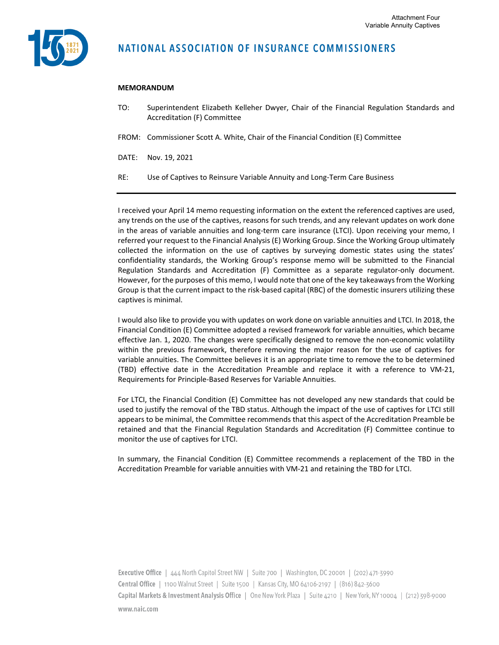

## **NATIONAL ASSOCIATION OF INSURANCE COMMISSIONERS**

## **MEMORANDUM**

- TO: Superintendent Elizabeth Kelleher Dwyer, Chair of the Financial Regulation Standards and Accreditation (F) Committee
- FROM: Commissioner Scott A. White, Chair of the Financial Condition (E) Committee
- DATE: Nov. 19, 2021
- RE: Use of Captives to Reinsure Variable Annuity and Long‐Term Care Business

I received your April 14 memo requesting information on the extent the referenced captives are used, any trends on the use of the captives, reasons for such trends, and any relevant updates on work done in the areas of variable annuities and long-term care insurance (LTCI). Upon receiving your memo, I referred your request to the Financial Analysis (E) Working Group. Since the Working Group ultimately collected the information on the use of captives by surveying domestic states using the states' confidentiality standards, the Working Group's response memo will be submitted to the Financial Regulation Standards and Accreditation (F) Committee as a separate regulator‐only document. However, for the purposes of this memo, I would note that one of the key takeaways from the Working Group is that the current impact to the risk‐based capital (RBC) of the domestic insurers utilizing these captives is minimal.

I would also like to provide you with updates on work done on variable annuities and LTCI. In 2018, the Financial Condition (E) Committee adopted a revised framework for variable annuities, which became effective Jan. 1, 2020. The changes were specifically designed to remove the non-economic volatility within the previous framework, therefore removing the major reason for the use of captives for variable annuities. The Committee believes it is an appropriate time to remove the to be determined (TBD) effective date in the Accreditation Preamble and replace it with a reference to VM‐21, Requirements for Principle‐Based Reserves for Variable Annuities.

For LTCI, the Financial Condition (E) Committee has not developed any new standards that could be used to justify the removal of the TBD status. Although the impact of the use of captives for LTCI still appears to be minimal, the Committee recommends that this aspect of the Accreditation Preamble be retained and that the Financial Regulation Standards and Accreditation (F) Committee continue to monitor the use of captives for LTCI.

In summary, the Financial Condition (E) Committee recommends a replacement of the TBD in the Accreditation Preamble for variable annuities with VM‐21 and retaining the TBD for LTCI.

Executive Office | 444 North Capitol Street NW | Suite 700 | Washington, DC 20001 | (202) 471-3990 Central Office | 1100 Walnut Street | Suite 1500 | Kansas City, MO 64106-2197 | (816) 842-3600 Capital Markets & Investment Analysis Office | One New York Plaza | Suite 4210 | New York, NY 10004 | (212) 398-9000 www.naic.com